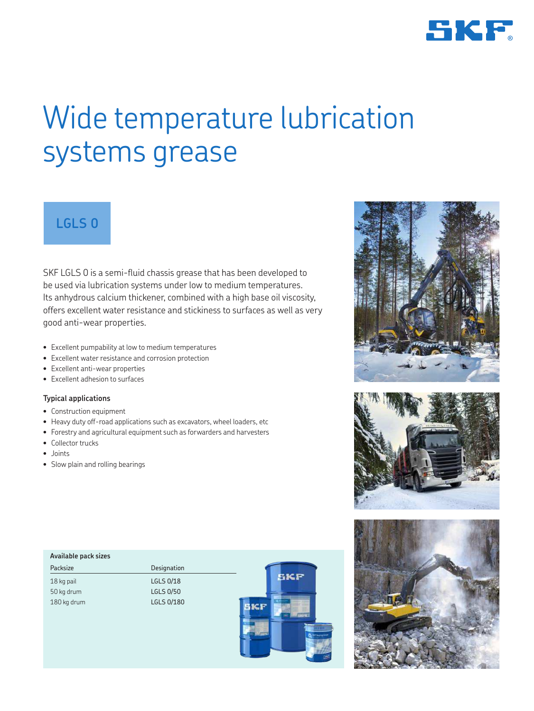

# Wide temperature lubrication systems grease

## **LGLS 0**

SKF LGLS 0 is a semi-fluid chassis grease that has been developed to be used via lubrication systems under low to medium temperatures. Its anhydrous calcium thickener, combined with a high base oil viscosity, offers excellent water resistance and stickiness to surfaces as well as very good anti-wear properties.

- Excellent pumpability at low to medium temperatures
- Excellent water resistance and corrosion protection
- Excellent anti-wear properties
- Excellent adhesion to surfaces

## **Typical applications**

- Construction equipment
- Heavy duty off-road applications such as excavators, wheel loaders, etc
- Forestry and agricultural equipment such as forwarders and harvesters
- Collector trucks
- Joints
- Slow plain and rolling bearings

| Available pack sizes |                  |            |
|----------------------|------------------|------------|
| Packsize             | Designation      |            |
| 18 kg pail           | LGLS 0/18        | <b>EKF</b> |
| 50 kg drum           | <b>LGLS 0/50</b> |            |
| 180 kg drum          | LGLS 0/180       |            |